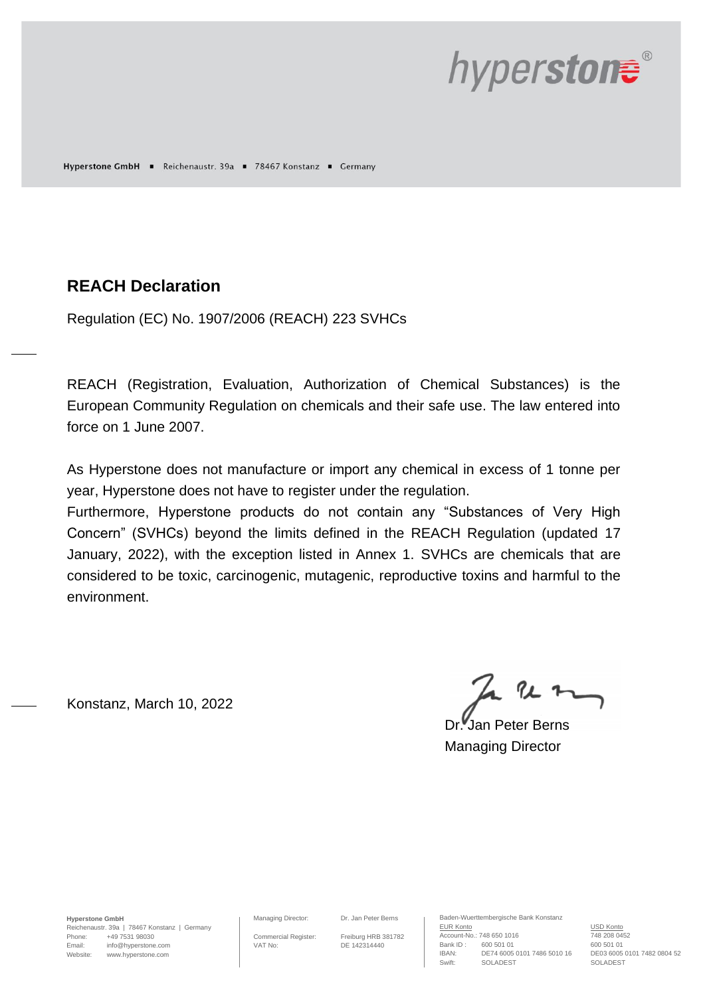

Hyperstone GmbH = Reichenaustr. 39a = 78467 Konstanz = Germany

## **REACH Declaration**

Regulation (EC) No. 1907/2006 (REACH) 223 SVHCs

REACH (Registration, Evaluation, Authorization of Chemical Substances) is the European Community Regulation on chemicals and their safe use. The law entered into force on 1 June 2007.

As Hyperstone does not manufacture or import any chemical in excess of 1 tonne per year, Hyperstone does not have to register under the regulation.

Furthermore, Hyperstone products do not contain any "Substances of Very High Concern" (SVHCs) beyond the limits defined in the REACH Regulation (updated 17 January, 2022), with the exception listed in Annex 1. SVHCs are chemicals that are considered to be toxic, carcinogenic, mutagenic, reproductive toxins and harmful to the environment.

Konstanz, March 10, 2022

 $222$ 

Dr. Jan Peter Berns Managing Director

**Hyperstone GmbH**

Reichenaustr. 39a | 78467 Konstanz | Germany Phone: +49 7531 98030 Email: info@hyperstone.com Website: www.hyperstone.com

Managing Director: Dr. Jan Peter Berns

Commercial Register: Freiburg HRB 381782 VAT No: DE 142314440

Baden-Wuerttembergische Bank Konstanz EUR Konto<br>Account-No.: 748 650 1016 748 208 0452 Account-No.: 748 650 1016 Bank ID: 600 501 01 600 501 01<br>IBAN: DE74 6005 0101 7486 5010 16 DE03 6005 0101 7482 0804 52 IBAN: DE74 6005 0101 7486 5010 16 DE03 6005 (<br>Swift: SOLADEST SOLADEST SOLADEST